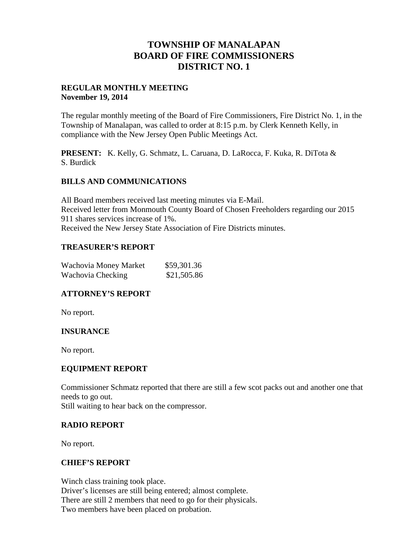## **TOWNSHIP OF MANALAPAN BOARD OF FIRE COMMISSIONERS DISTRICT NO. 1**

#### **REGULAR MONTHLY MEETING November 19, 2014**

The regular monthly meeting of the Board of Fire Commissioners, Fire District No. 1, in the Township of Manalapan, was called to order at 8:15 p.m. by Clerk Kenneth Kelly, in compliance with the New Jersey Open Public Meetings Act.

**PRESENT:** K. Kelly, G. Schmatz, L. Caruana, D. LaRocca, F. Kuka, R. DiTota & S. Burdick

### **BILLS AND COMMUNICATIONS**

All Board members received last meeting minutes via E-Mail. Received letter from Monmouth County Board of Chosen Freeholders regarding our 2015 911 shares services increase of 1%. Received the New Jersey State Association of Fire Districts minutes.

### **TREASURER'S REPORT**

| Wachovia Money Market | \$59,301.36 |
|-----------------------|-------------|
| Wachovia Checking     | \$21,505.86 |

## **ATTORNEY'S REPORT**

No report.

## **INSURANCE**

No report.

#### **EQUIPMENT REPORT**

Commissioner Schmatz reported that there are still a few scot packs out and another one that needs to go out.

Still waiting to hear back on the compressor.

#### **RADIO REPORT**

No report.

#### **CHIEF'S REPORT**

Winch class training took place. Driver's licenses are still being entered; almost complete. There are still 2 members that need to go for their physicals. Two members have been placed on probation.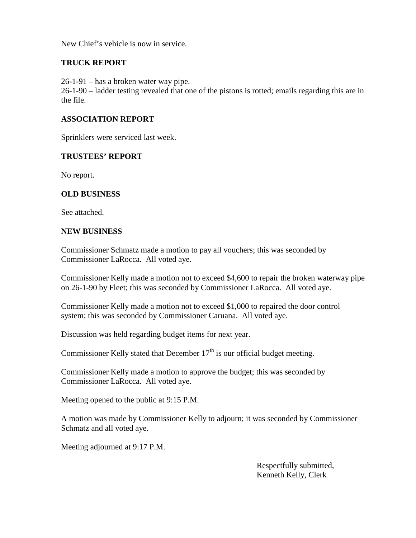New Chief's vehicle is now in service.

## **TRUCK REPORT**

26-1-91 – has a broken water way pipe.

26-1-90 – ladder testing revealed that one of the pistons is rotted; emails regarding this are in the file.

#### **ASSOCIATION REPORT**

Sprinklers were serviced last week.

#### **TRUSTEES' REPORT**

No report.

#### **OLD BUSINESS**

See attached.

#### **NEW BUSINESS**

Commissioner Schmatz made a motion to pay all vouchers; this was seconded by Commissioner LaRocca. All voted aye.

Commissioner Kelly made a motion not to exceed \$4,600 to repair the broken waterway pipe on 26-1-90 by Fleet; this was seconded by Commissioner LaRocca. All voted aye.

Commissioner Kelly made a motion not to exceed \$1,000 to repaired the door control system; this was seconded by Commissioner Caruana. All voted aye.

Discussion was held regarding budget items for next year.

Commissioner Kelly stated that December  $17<sup>th</sup>$  is our official budget meeting.

Commissioner Kelly made a motion to approve the budget; this was seconded by Commissioner LaRocca. All voted aye.

Meeting opened to the public at 9:15 P.M.

A motion was made by Commissioner Kelly to adjourn; it was seconded by Commissioner Schmatz and all voted aye.

Meeting adjourned at 9:17 P.M.

Respectfully submitted, Kenneth Kelly, Clerk